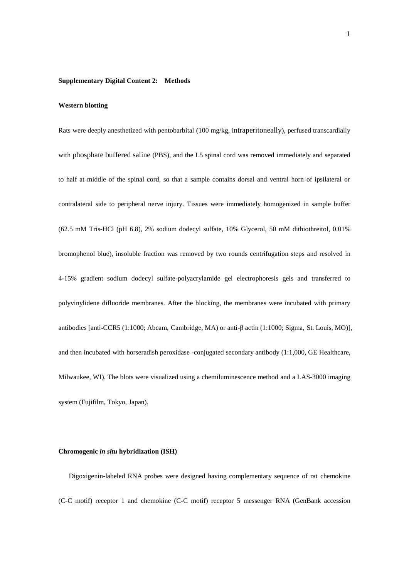## **Supplementary Digital Content 2: Methods**

## **Western blotting**

Rats were deeply anesthetized with pentobarbital (100 mg/kg, intraperitoneally), perfused transcardially with phosphate buffered saline (PBS), and the L5 spinal cord was removed immediately and separated to half at middle of the spinal cord, so that a sample contains dorsal and ventral horn of ipsilateral or contralateral side to peripheral nerve injury. Tissues were immediately homogenized in sample buffer (62.5 mM Tris-HCl (pH 6.8), 2% sodium dodecyl sulfate, 10% Glycerol, 50 mM dithiothreitol, 0.01% bromophenol blue), insoluble fraction was removed by two rounds centrifugation steps and resolved in 4-15% gradient sodium dodecyl sulfate-polyacrylamide gel electrophoresis gels and transferred to polyvinylidene difluoride membranes. After the blocking, the membranes were incubated with primary antibodies [anti-CCR5 (1:1000; Abcam, Cambridge, MA) or anti-β actin (1:1000; Sigma, St. Louis, MO)], and then incubated with horseradish peroxidase -conjugated secondary antibody (1:1,000, GE Healthcare, Milwaukee, WI). The blots were visualized using a chemiluminescence method and a LAS-3000 imaging system (Fujifilm, Tokyo, Japan).

## **Chromogenic** *in situ* **hybridization (ISH)**

 Digoxigenin-labeled RNA probes were designed having complementary sequence of rat chemokine (C-C motif) receptor 1 and chemokine (C-C motif) receptor 5 messenger RNA (GenBank accession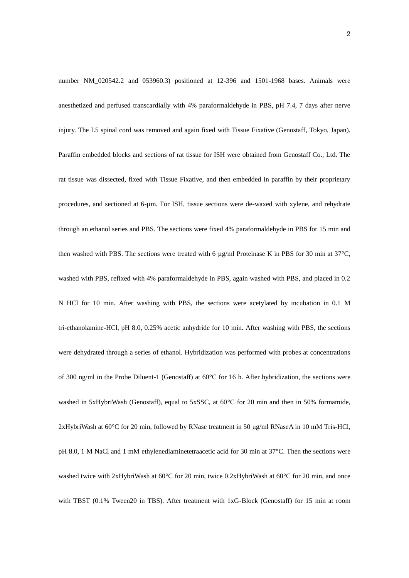number NM 020542.2 and 053960.3) positioned at 12-396 and 1501-1968 bases. Animals were anesthetized and perfused transcardially with 4% paraformaldehyde in PBS, pH 7.4, 7 days after nerve injury. The L5 spinal cord was removed and again fixed with Tissue Fixative (Genostaff, Tokyo, Japan). Paraffin embedded blocks and sections of rat tissue for ISH were obtained from Genostaff Co., Ltd. The rat tissue was dissected, fixed with Tissue Fixative, and then embedded in paraffin by their proprietary procedures, and sectioned at 6-µm. For ISH, tissue sections were de-waxed with xylene, and rehydrate through an ethanol series and PBS. The sections were fixed 4% paraformaldehyde in PBS for 15 min and then washed with PBS. The sections were treated with 6  $\mu$ g/ml Proteinase K in PBS for 30 min at 37°C, washed with PBS, refixed with 4% paraformaldehyde in PBS, again washed with PBS, and placed in 0.2 N HCl for 10 min. After washing with PBS, the sections were acetylated by incubation in 0.1 M tri-ethanolamine-HCl, pH 8.0, 0.25% acetic anhydride for 10 min. After washing with PBS, the sections were dehydrated through a series of ethanol. Hybridization was performed with probes at concentrations of 300 ng/ml in the Probe Diluent-1 (Genostaff) at 60°C for 16 h. After hybridization, the sections were washed in 5xHybriWash (Genostaff), equal to 5xSSC, at 60°C for 20 min and then in 50% formamide, 2xHybriWash at 60°C for 20 min, followed by RNase treatment in 50 μg/ml RNaseA in 10 mM Tris-HCl, pH 8.0, 1 M NaCl and 1 mM ethylenediaminetetraacetic acid for 30 min at 37°C. Then the sections were washed twice with 2xHybriWash at 60°C for 20 min, twice 0.2xHybriWash at 60°C for 20 min, and once with TBST (0.1% Tween20 in TBS). After treatment with 1xG-Block (Genostaff) for 15 min at room